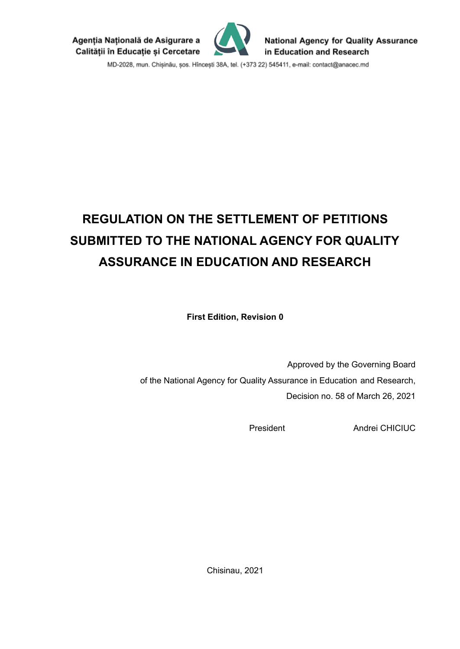Agenția Națională de Asigurare a Calității în Educație și Cercetare



**National Agency for Quality Assurance** in Education and Research

MD-2028, mun. Chișinău, șos. Hîncești 38A, tel. (+373 22) 545411, e-mail: contact@anacec.md

# **REGULATION ON THE SETTLEMENT OF PETITIONS SUBMITTED TO THE NATIONAL AGENCY FOR QUALITY ASSURANCE IN EDUCATION AND RESEARCH**

**First Edition, Revision 0**

Approved by the Governing Board of the National Agency for Quality Assurance in Education and Research, Decision no. 58 of March 26, 2021

President Andrei CHICIUC

Chisinau, 2021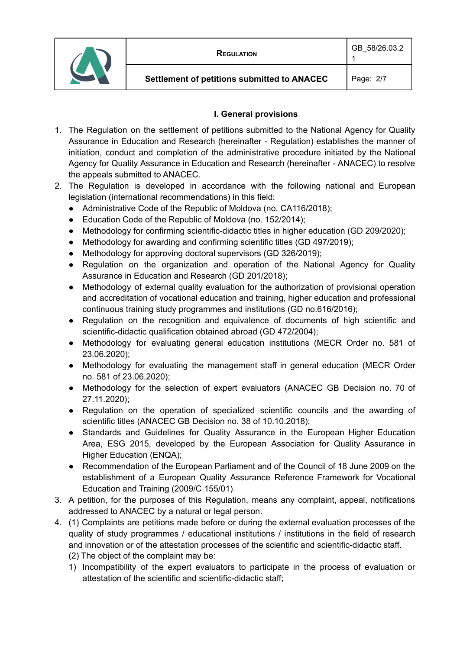



1

# **I. General provisions**

- 1. The Regulation on the settlement of petitions submitted to the National Agency for Quality Assurance in Education and Research (hereinafter - Regulation) establishes the manner of initiation, conduct and completion of the administrative procedure initiated by the National Agency for Quality Assurance in Education and Research (hereinafter - ANACEC) to resolve the appeals submitted to ANACEC.
- 2. The Regulation is developed in accordance with the following national and European legislation (international recommendations) in this field:
	- Administrative Code of the Republic of Moldova (no. CA116/2018);
	- Education Code of the Republic of Moldova (no. 152/2014);
	- Methodology for confirming scientific-didactic titles in higher education (GD 209/2020);
	- Methodology for awarding and confirming scientific titles (GD 497/2019);
	- Methodology for approving doctoral supervisors (GD 326/2019);
	- Regulation on the organization and operation of the National Agency for Quality Assurance in Education and Research (GD 201/2018);
	- Methodology of external quality evaluation for the authorization of provisional operation and accreditation of vocational education and training, higher education and professional continuous training study programmes and institutions (GD no.616/2016);
	- Regulation on the recognition and equivalence of documents of high scientific and scientific-didactic qualification obtained abroad (GD 472/2004);
	- Methodology for evaluating general education institutions (MECR Order no. 581 of 23.06.2020);
	- Methodology for evaluating the management staff in general education (MECR Order no. 581 of 23.06.2020);
	- Methodology for the selection of expert evaluators (ANACEC GB Decision no. 70 of 27.11.2020);
	- Regulation on the operation of specialized scientific councils and the awarding of scientific titles (ANACEC GB Decision no. 38 of 10.10.2018);
	- Standards and Guidelines for Quality Assurance in the European Higher Education Area, ESG 2015, developed by the European Association for Quality Assurance in Higher Education (ENQA);
	- Recommendation of the European Parliament and of the Council of 18 June 2009 on the establishment of a European Quality Assurance Reference Framework for Vocational Education and Training (2009/C 155/01).
- 3. A petition, for the purposes of this Regulation, means any complaint, appeal, notifications addressed to ANACEC by a natural or legal person.
- 4. (1) Complaints are petitions made before or during the external evaluation processes of the quality of study programmes / educational institutions / institutions in the field of research and innovation or of the attestation processes of the scientific and scientific-didactic staff.
	- (2) The object of the complaint may be:
	- 1) Incompatibility of the expert evaluators to participate in the process of evaluation or attestation of the scientific and scientific-didactic staff;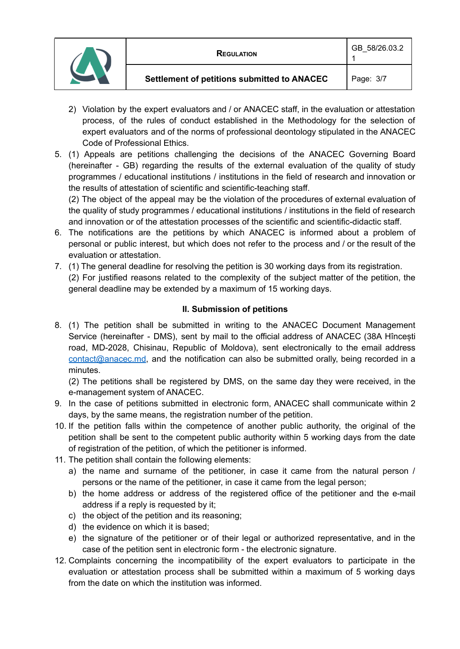|  | <b>REGULATION</b>                           | GB 58/26.03.2 |
|--|---------------------------------------------|---------------|
|  | Settlement of petitions submitted to ANACEC | Page: 3/7     |

- 2) Violation by the expert evaluators and / or ANACEC staff, in the evaluation or attestation process, of the rules of conduct established in the Methodology for the selection of expert evaluators and of the norms of professional deontology stipulated in the ANACEC Code of Professional Ethics.
- 5. (1) Appeals are petitions challenging the decisions of the ANACEC Governing Board (hereinafter - GB) regarding the results of the external evaluation of the quality of study programmes / educational institutions / institutions in the field of research and innovation or the results of attestation of scientific and scientific-teaching staff.

(2) The object of the appeal may be the violation of the procedures of external evaluation of the quality of study programmes / educational institutions / institutions in the field of research and innovation or of the attestation processes of the scientific and scientific-didactic staff.

- 6. The notifications are the petitions by which ANACEC is informed about a problem of personal or public interest, but which does not refer to the process and / or the result of the evaluation or attestation.
- 7. (1) The general deadline for resolving the petition is 30 working days from its registration.
	- (2) For justified reasons related to the complexity of the subject matter of the petition, the general deadline may be extended by a maximum of 15 working days.

# **II. Submission of petitions**

8. (1) The petition shall be submitted in writing to the ANACEC Document Management Service (hereinafter - DMS), sent by mail to the official address of ANACEC (38A Hîncești road, MD-2028, Chisinau, Republic of Moldova), sent electronically to the email address [contact@anacec.md](mailto:contact@anacec.md), and the notification can also be submitted orally, being recorded in a minutes.

(2) The petitions shall be registered by DMS, on the same day they were received, in the e-management system of ANACEC.

- 9. In the case of petitions submitted in electronic form, ANACEC shall communicate within 2 days, by the same means, the registration number of the petition.
- 10. If the petition falls within the competence of another public authority, the original of the petition shall be sent to the competent public authority within 5 working days from the date of registration of the petition, of which the petitioner is informed.
- 11. The petition shall contain the following elements:
	- a) the name and surname of the petitioner, in case it came from the natural person / persons or the name of the petitioner, in case it came from the legal person;
	- b) the home address or address of the registered office of the petitioner and the e-mail address if a reply is requested by it;
	- c) the object of the petition and its reasoning;
	- d) the evidence on which it is based;
	- e) the signature of the petitioner or of their legal or authorized representative, and in the case of the petition sent in electronic form - the electronic signature.
- 12. Complaints concerning the incompatibility of the expert evaluators to participate in the evaluation or attestation process shall be submitted within a maximum of 5 working days from the date on which the institution was informed.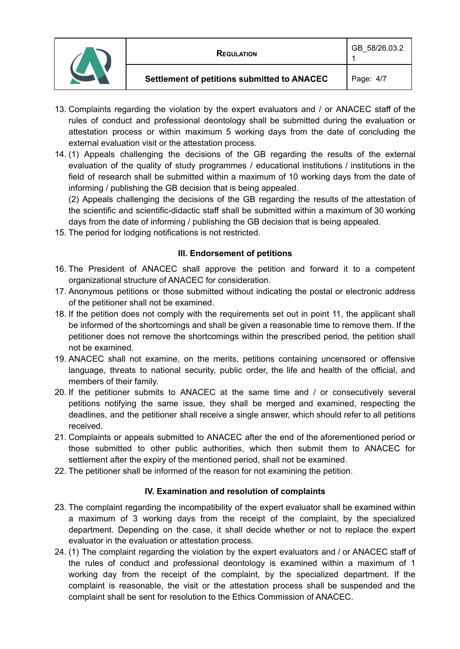|  | <b>REGULATION</b>                           | GB 58/26.03.2 |
|--|---------------------------------------------|---------------|
|  | Settlement of petitions submitted to ANACEC | Page: 4/7     |

- 13. Complaints regarding the violation by the expert evaluators and / or ANACEC staff of the rules of conduct and professional deontology shall be submitted during the evaluation or attestation process or within maximum 5 working days from the date of concluding the external evaluation visit or the attestation process.
- 14. (1) Appeals challenging the decisions of the GB regarding the results of the external evaluation of the quality of study programmes / educational institutions / institutions in the field of research shall be submitted within a maximum of 10 working days from the date of informing / publishing the GB decision that is being appealed.

(2) Appeals challenging the decisions of the GB regarding the results of the attestation of the scientific and scientific-didactic staff shall be submitted within a maximum of 30 working days from the date of informing / publishing the GB decision that is being appealed.

15. The period for lodging notifications is not restricted.

## **III. Endorsement of petitions**

- 16. The President of ANACEC shall approve the petition and forward it to a competent organizational structure of ANACEC for consideration.
- 17. Anonymous petitions or those submitted without indicating the postal or electronic address of the petitioner shall not be examined.
- 18. If the petition does not comply with the requirements set out in point 11, the applicant shall be informed of the shortcomings and shall be given a reasonable time to remove them. If the petitioner does not remove the shortcomings within the prescribed period, the petition shall not be examined.
- 19. ANACEC shall not examine, on the merits, petitions containing uncensored or offensive language, threats to national security, public order, the life and health of the official, and members of their family.
- 20. If the petitioner submits to ANACEC at the same time and / or consecutively several petitions notifying the same issue, they shall be merged and examined, respecting the deadlines, and the petitioner shall receive a single answer, which should refer to all petitions received.
- 21. Complaints or appeals submitted to ANACEC after the end of the aforementioned period or those submitted to other public authorities, which then submit them to ANACEC for settlement after the expiry of the mentioned period, shall not be examined.
- 22. The petitioner shall be informed of the reason for not examining the petition.

# **IV. Examination and resolution of complaints**

- 23. The complaint regarding the incompatibility of the expert evaluator shall be examined within a maximum of 3 working days from the receipt of the complaint, by the specialized department. Depending on the case, it shall decide whether or not to replace the expert evaluator in the evaluation or attestation process.
- 24. (1) The complaint regarding the violation by the expert evaluators and / or ANACEC staff of the rules of conduct and professional deontology is examined within a maximum of 1 working day from the receipt of the complaint, by the specialized department. If the complaint is reasonable, the visit or the attestation process shall be suspended and the complaint shall be sent for resolution to the Ethics Commission of ANACEC.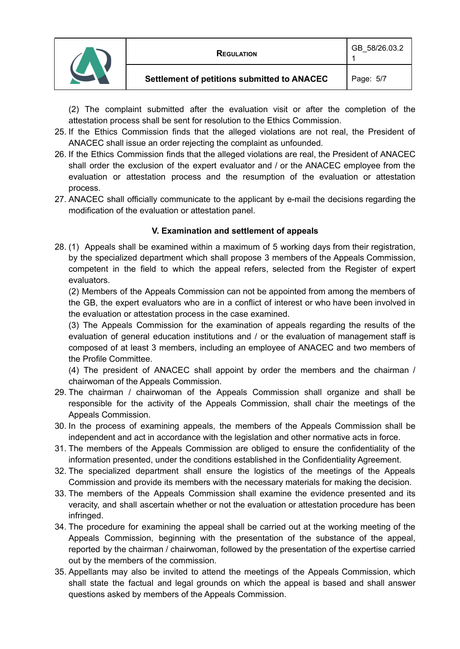|  | REGULATION                                         | GB 58/26.03.2 |
|--|----------------------------------------------------|---------------|
|  | <b>Settlement of petitions submitted to ANACEC</b> | Page: 5/7     |

(2) The complaint submitted after the evaluation visit or after the completion of the attestation process shall be sent for resolution to the Ethics Commission.

- 25. If the Ethics Commission finds that the alleged violations are not real, the President of ANACEC shall issue an order rejecting the complaint as unfounded.
- 26. If the Ethics Commission finds that the alleged violations are real, the President of ANACEC shall order the exclusion of the expert evaluator and / or the ANACEC employee from the evaluation or attestation process and the resumption of the evaluation or attestation process.
- 27. ANACEC shall officially communicate to the applicant by e-mail the decisions regarding the modification of the evaluation or attestation panel.

## **V. Examination and settlement of appeals**

28. (1) Appeals shall be examined within a maximum of 5 working days from their registration, by the specialized department which shall propose 3 members of the Appeals Commission, competent in the field to which the appeal refers, selected from the Register of expert evaluators.

(2) Members of the Appeals Commission can not be appointed from among the members of the GB, the expert evaluators who are in a conflict of interest or who have been involved in the evaluation or attestation process in the case examined.

(3) The Appeals Commission for the examination of appeals regarding the results of the evaluation of general education institutions and / or the evaluation of management staff is composed of at least 3 members, including an employee of ANACEC and two members of the Profile Committee.

(4) The president of ANACEC shall appoint by order the members and the chairman / chairwoman of the Appeals Commission.

- 29. The chairman / chairwoman of the Appeals Commission shall organize and shall be responsible for the activity of the Appeals Commission, shall chair the meetings of the Appeals Commission.
- 30. In the process of examining appeals, the members of the Appeals Commission shall be independent and act in accordance with the legislation and other normative acts in force.
- 31. The members of the Appeals Commission are obliged to ensure the confidentiality of the information presented, under the conditions established in the Confidentiality Agreement.
- 32. The specialized department shall ensure the logistics of the meetings of the Appeals Commission and provide its members with the necessary materials for making the decision.
- 33. The members of the Appeals Commission shall examine the evidence presented and its veracity, and shall ascertain whether or not the evaluation or attestation procedure has been infringed.
- 34. The procedure for examining the appeal shall be carried out at the working meeting of the Appeals Commission, beginning with the presentation of the substance of the appeal, reported by the chairman / chairwoman, followed by the presentation of the expertise carried out by the members of the commission.
- 35. Appellants may also be invited to attend the meetings of the Appeals Commission, which shall state the factual and legal grounds on which the appeal is based and shall answer questions asked by members of the Appeals Commission.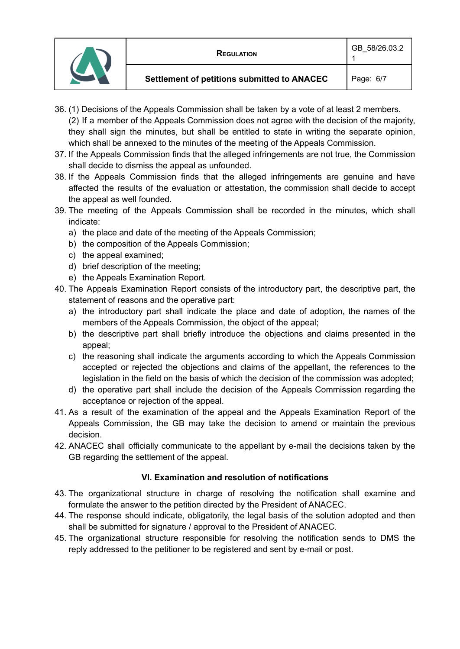|  | <b>REGULATION</b>                           | GB 58/26.03.2 |
|--|---------------------------------------------|---------------|
|  | Settlement of petitions submitted to ANACEC | Page: 6/7     |

- 36. (1) Decisions of the Appeals Commission shall be taken by a vote of at least 2 members. (2) If a member of the Appeals Commission does not agree with the decision of the majority, they shall sign the minutes, but shall be entitled to state in writing the separate opinion, which shall be annexed to the minutes of the meeting of the Appeals Commission.
- 37. If the Appeals Commission finds that the alleged infringements are not true, the Commission shall decide to dismiss the appeal as unfounded.
- 38. If the Appeals Commission finds that the alleged infringements are genuine and have affected the results of the evaluation or attestation, the commission shall decide to accept the appeal as well founded.
- 39. The meeting of the Appeals Commission shall be recorded in the minutes, which shall indicate:
	- a) the place and date of the meeting of the Appeals Commission;
	- b) the composition of the Appeals Commission;
	- c) the appeal examined;
	- d) brief description of the meeting;
	- e) the Appeals Examination Report.
- 40. The Appeals Examination Report consists of the introductory part, the descriptive part, the statement of reasons and the operative part:
	- a) the introductory part shall indicate the place and date of adoption, the names of the members of the Appeals Commission, the object of the appeal;
	- b) the descriptive part shall briefly introduce the objections and claims presented in the appeal;
	- c) the reasoning shall indicate the arguments according to which the Appeals Commission accepted or rejected the objections and claims of the appellant, the references to the legislation in the field on the basis of which the decision of the commission was adopted;
	- d) the operative part shall include the decision of the Appeals Commission regarding the acceptance or rejection of the appeal.
- 41. As a result of the examination of the appeal and the Appeals Examination Report of the Appeals Commission, the GB may take the decision to amend or maintain the previous decision.
- 42. ANACEC shall officially communicate to the appellant by e-mail the decisions taken by the GB regarding the settlement of the appeal.

## **VI. Examination and resolution of notifications**

- 43. The organizational structure in charge of resolving the notification shall examine and formulate the answer to the petition directed by the President of ANACEC.
- 44. The response should indicate, obligatorily, the legal basis of the solution adopted and then shall be submitted for signature / approval to the President of ANACEC.
- 45. The organizational structure responsible for resolving the notification sends to DMS the reply addressed to the petitioner to be registered and sent by e-mail or post.